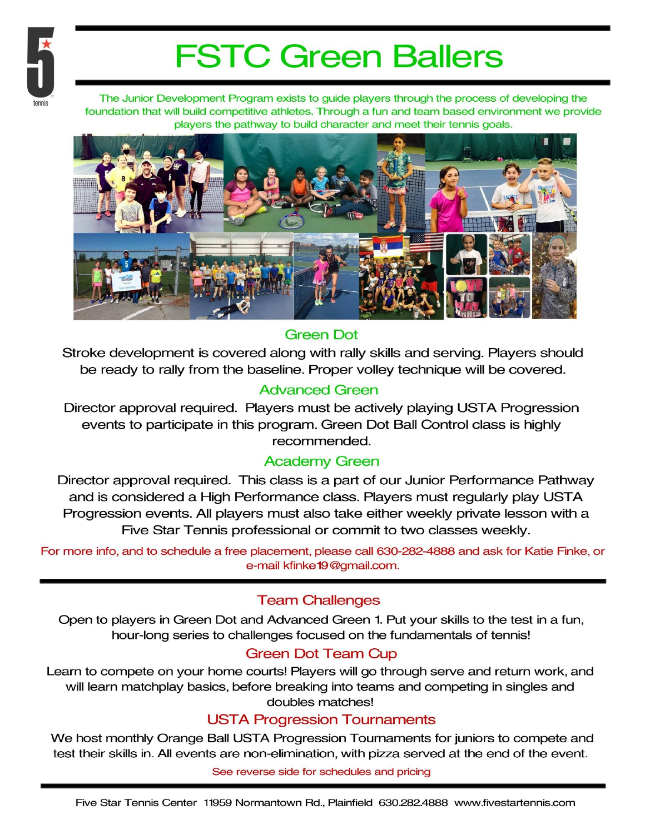

# **FSTC Green Ballers**

The Junior Development Program exists to guide players through the process of developing the foundation that will build competitive athletes. Through a fun and team based environment we provide players the pathway to build character and meet their tennis goals.



## **Green Dot**

Stroke development is covered along with rally skills and serving. Players should be ready to rally from the baseline. Proper volley technique will be covered.

## **Advanced Green**

Director approval required. Players must be actively playing USTA Progression events to participate in this program. Green Dot Ball Control class is highly recommended.

## **Academy Green**

Director approval required. This class is a part of our Junior Performance Pathway and is considered a High Performance class. Players must regularly play USTA Progression events. All players must also take either weekly private lesson with a Five Star Tennis professional or commit to two classes weekly.

For more info, and to schedule a free placement, please call 630-282-4888 and ask for Katie Finke, or e-mail kfinke 19@gmail.com.

## **Team Challenges**

Open to players in Green Dot and Advanced Green 1. Put your skills to the test in a fun, hour-long series to challenges focused on the fundamentals of tennis!

## **Green Dot Team Cup**

Learn to compete on your home courts! Players will go through serve and return work, and will learn matchplay basics, before breaking into teams and competing in singles and doubles matches!

#### **USTA Progression Tournaments**

We host monthly Orange Ball USTA Progression Tournaments for juniors to compete and test their skills in. All events are non-elimination, with pizza served at the end of the event.

See reverse side for schedules and pricing